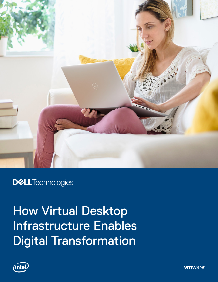

## **DELLTechnologies**

# How Virtual Desktop Infrastructure Enables Digital Transformation



**vm**ware<sup>®</sup>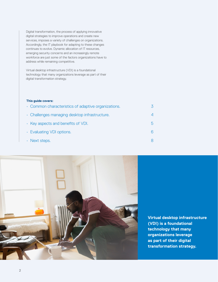Digital transformation, the process of applying innovative digital strategies to improve operations and create new services, imposes a variety of challenges on organizations. Accordingly, the IT playbook for adapting to these changes continues to evolve. Dynamic allocation of IT resources, emerging security concerns and an increasingly remote workforce are just some of the factors organizations have to address while remaining competitive.

Virtual desktop infrastructure (VDI) is a foundational technology that many organizations leverage as part of their digital transformation strategy.

#### **This guide covers:**

| • Common characteristics of adaptive organizations. |    |
|-----------------------------------------------------|----|
| · Challenges managing desktop infrastructure.       |    |
| $\cdot$ Key aspects and benefits of VDI.            | .h |
| • Evaluating VDI options.                           |    |
| $\cdot$ Next steps.                                 |    |



**Virtual desktop infrastructure (VDI) is a foundational technology that many organizations leverage as part of their digital transformation strategy.**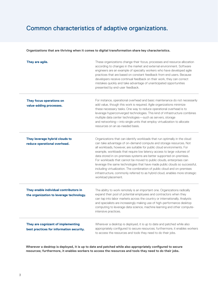### <span id="page-2-0"></span>Common characteristics of adaptive organizations.

#### **Organizations that are thriving when it comes to digital transformation share key characteristics.**

| They are agile.                                                                    | These organizations change their focus, processes and resource allocation<br>according to changes in the market and external environment. Software<br>engineers are an example of specialty workers who have developed agile<br>practices that are based on constant feedback from end users. Because<br>developers receive continual feedback on their work, they can correct<br>mistakes quickly and take advantage of unanticipated opportunities<br>presented by end-user feedback.                                                                                                                                                                                                                                |
|------------------------------------------------------------------------------------|------------------------------------------------------------------------------------------------------------------------------------------------------------------------------------------------------------------------------------------------------------------------------------------------------------------------------------------------------------------------------------------------------------------------------------------------------------------------------------------------------------------------------------------------------------------------------------------------------------------------------------------------------------------------------------------------------------------------|
| They focus operations on<br>value-adding processes.                                | For instance, operational overhead and basic maintenance do not necessarily<br>add value, though this work is required. Agile organizations minimize<br>these necessary tasks. One way to reduce operational overhead is to<br>leverage hyperconverged technologies. This kind of infrastructure combines<br>multiple data center technologies-such as servers, storage<br>and networking-into single units that employ virtualization to allocate<br>resources on an as-needed basis.                                                                                                                                                                                                                                 |
| They leverage hybrid clouds to<br>reduce operational overhead.                     | Organizations that can identify workloads that run optimally in the cloud<br>can take advantage of on-demand compute and storage resources. Not<br>all workloads, however, are suitable for public cloud environments. For<br>example, workloads that require low latency access to large volumes of<br>data stored in on-premises systems are better supported on-premises.<br>For workloads that cannot be moved to public clouds, enterprises can<br>leverage the same technologies that have made public clouds so successful,<br>including virtualization. The combination of public cloud and on-premises<br>infrastructure, commonly referred to as hybrid cloud, enables more strategic<br>workload placement. |
| They enable individual contributors in<br>the organization to leverage technology. | The ability to work remotely is an important one. Organizations radically<br>expand their pool of potential employees and contractors when they<br>can tap into labor markets across the country or internationally. Analysts<br>and specialists are increasingly making use of high-performance desktop<br>computing to leverage data science, machine learning and other compute-<br>intensive practices.                                                                                                                                                                                                                                                                                                            |
| They are cognizant of implementing<br>best practices for information security.     | Wherever a desktop is deployed, it is up to date and patched while also<br>appropriately configured to secure resources; furthermore, it enables workers<br>to access the resources and tools they need to do their jobs.                                                                                                                                                                                                                                                                                                                                                                                                                                                                                              |

**Wherever a desktop is deployed, it is up to date and patched while also appropriately configured to secure resources; furthermore, it enables workers to access the resources and tools they need to do their jobs.**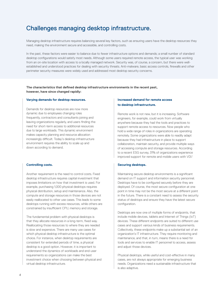### <span id="page-3-0"></span>Challenges managing desktop infrastructure.

Managing desktop infrastructure requires balancing several key factors, such as ensuring users have the desktop resources they need, making the environment secure and accessible, and controlling costs.

In the past, these factors were easier to balance due to fewer infrastructure options and demands; a small number of standard desktop configurations would satisfy most needs. Although some users required remote access, the typical user was working from an on-site location with access to a locally managed network. Security was, of course, a concern, but there were wellestablished and understood practices for dealing with security threats. Anti-malware, basic access controls, firewalls and other perimeter security measures were widely used and addressed most desktop security concerns.

#### **The characteristics that defined desktop infrastructure environments in the recent past, however, have since changed rapidly:**

#### **Varying demands for desktop resources.**

Demands for desktop resources are now more dynamic due to employees changing roles frequently, contractors and consultants joining and leaving organizations regularly, and users finding the need for short-term access to additional resources due to large workloads. This dynamic environment makes capacity planning and resource allocation increasingly difficult. Today's desktop infrastructure environment requires the ability to scale up and down according to demand.

#### **Controlling costs.**

Another requirement is the need to control costs. Fixed desktop infrastructure requires capital investment that imposes limitations on how that investment is used. For example, purchasing 1,000 physical desktops requires physical distribution, setup and maintenance. Also, the compute and storage resources in those devices are not easily reallocated to other use cases. This leads to some desktops running with excess resources, while others are constrained by insufficient CPU, memory and storage.

The fundamental problem with physical desktops is that they allocate resources in a long-term, fixed way. Reallocating those resources to where they are needed is slow and expensive. There are many use cases for which physical desktop infrastructure is the optimal choice. For instance, when desktop requirements are consistent for extended periods of time, a physical desktop is a good option. However, it is important to understand the dynamics of workloads and end-user requirements so organizations can make the best investment choice when choosing between physical and virtual desktop infrastructure.

#### **Increased demand for remote access to desktop infrastructure.**

Remote work is not new, but it is increasing. Software engineers, for example, could work from virtually anywhere because they had the tools and practices to support remote access to resources. Now people who hold a wide range of roles in organizations are operating remotely. Some organizations were able to readily adapt because they had infrastructure in place to support collaboration, maintain security, and provide multiple ways of accessing compute and storage resources. According to a recent ESG survey, 31% of organizations experience improved support for remote and mobile users with VDI.<sup>1</sup>

#### **Securing desktops.**

Maintaining secure desktop environments is a significant demand on IT support and information security personnel. Desktops have to be configured securely before they are deployed. Of course, the most secure configuration at one point in time may not be the most secure at a different point in the future. There is a constant need to assess the security status of desktops and ensure they have the latest secure configuration.

Desktops are now one of multiple forms of endpoints, that include mobile devices, tablets and Internet of Things (IoT) devices. These different endpoints are suited to different use cases and support various kinds of business requirements. Collectively, these endpoints make up a substantial set of an organization's IT infrastructure. They require monitoring and maintenance, and that, in turn, means there is a need for tools and services to enable IT personnel to access, assess and adjust those devices.

Physical desktops, while useful and cost-effective in many cases, are not always appropriate for emerging business needs. Organizations need a sustainable infrastructure that is also adaptive.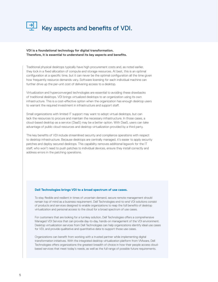<span id="page-4-0"></span>

#### **VDI is a foundational technology for digital transformation. Therefore, it is essential to understand its key aspects and benefits.**

Traditional physical desktops typically have high procurement costs and, as noted earlier, they lock in a fixed allocation of compute and storage resources. At best, this is an optimal configuration at a specific time, but it can never be the optimal configuration all the time given how frequently resource demands vary. Software licensing for each individual machine can further drive up the per-unit cost of delivering access to a desktop.

Virtualization and hyperconverged technologies are essential to avoiding these drawbacks of traditional desktops. VDI brings virtualized desktops to an organization using its own infrastructure. This is a cost-effective option when the organization has enough desktop users to warrant the required investment in infrastructure and support staff.

Small organizations with limited IT support may want to adopt virtual desktops, but can lack the resources to procure and maintain the necessary infrastructure. In those cases, a cloud-based desktop as a service (DaaS) may be a better option. With DaaS, users can take advantage of public cloud resources and desktop virtualization provided by a third party.

The key benefits of VDI include streamlined security and compliance operations with respect to desktop infrastructure. Because desktops are centrally managed, it's easier to apply security patches and deploy secured desktops. This capability removes additional legwork for the IT staff, who won't need to push patches to individual devices, ensure they install correctly and address errors in the patching operations.

#### **Dell Technologies brings VDI to a broad spectrum of use cases.**

To stay flexible and resilient in times of uncertain demand, secure remote management should remain top of mind as a business requirement. Dell Technologies end-to-end VDI solutions consist of products and services designed to enable organizations to reap the full benefits of desktop virtualization and personal access to the cloud for a broad spectrum of use cases.

For customers that are looking for a turnkey solution, Dell Technologies offers a comprehensive Managed VDI Service that can provide day-to-day, hands-on management of the VDI environment. Desktop virtualization services from Dell Technologies can help organizations identify ideal use cases for VDI, and provide qualitative and quantitative data to support those use cases.

Organizations can benefit from working with a trusted partner while implementing digital transformation initiatives. With the integrated desktop virtualization platform from VMware, Dell Technologies offers organizations the greatest breadth of choice in how their people access cloudbased services that meet today's needs, as well as the full range of possible future requirements.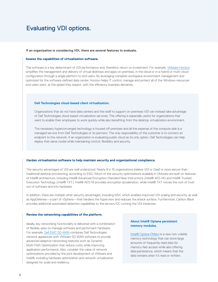### <span id="page-5-0"></span>Evaluating VDI options.

#### **If an organization is considering VDI, there are several features to evaluate.**

#### **Assess the capabilities of virtualization software.**

This software is a key determinant of VDI performance and, therefore, return on investment. For example, [VMware Horizon](https://www.vmware.com/products/horizon.html) simplifies the management and delivery of virtual desktops and apps on-premises, in the cloud or in a hybrid or multi-cloud configuration through a single platform to end users. By leveraging complete workspace environment management and optimized for the software-defined data center, Horizon helps IT control, manage and protect all of the Windows resources end users want, at the speed they expect, with the efficiency business demands.

#### **Dell Technologies cloud-based client virtualization.**

Organizations that do not have data centers and the staff to support on-premises VDI can instead take advantage of Dell Technologies cloud-based virtualization services. This offering is especially useful for organizations that want to enable their employees to work quickly while also benefiting from the desktop virtualization environment.

The necessary hyperconverged technology is housed off-premises and all the expense of the compute side is a managed service from Dell Technologies or its partners. The only responsibility of the customer is to connect an endpoint to the network. If an organization is evaluating public cloud as its only option, Dell Technologies can help deploy that same model while maintaining control, flexibility and security.

#### **Harden virtualization software to help maintain security and organizational compliance.**

The security advantages of VDI are well understood. Nearly 8 in 10 organizations believe VDI or DaaS is more secure than traditional desktop provisioning, according to ESG.<sup>1</sup> Much of the security optimizations available in VMware are built on features of Intel® architecture, including Intel® Advanced Encryption Standard New Instructions (Intel® AES-NI) and Intel® Trusted Execution Technology (Intel® TXT). Intel® AES-NI provides encryption acceleration, while Intel® TXT moves the root of trust out of software and into hardware.

In addition, there are multiple other security advantages, including NSX, which enables improved VDI scaling and security, as well as AppDefense—a part of vSphere—that hardens the hypervisor and reduces the attack surface. Furthermore, Carbon Black provides additional automated detection capabilities to the servers/DC running the VDI instances.

#### **Review the networking capabilities of the platform.**

Ideally, key networking functionality is delivered with a combination of flexible, easy-to-manage software and performant hardware. For example, [Dell EMC SD-WAN](https://www.delltechnologies.com/en-us/networking/sd-wan-solution/index.htm) combines Dell Technologies network appliances with VMware SD-WAN software to provide advanced adaptive networking features such as Dynamic Multi-Path Optimization that reduce costs while improving application performance. Also, consider the value of network optimizations provided by the joint development of VMware and Intel®, including hardware optimization and network virtualization designed for scale and resiliency.

#### **About Intel® Optane persistent memory modules.**

[Intel® Optane PMem](https://www.intel.com/content/www/us/en/architecture-and-technology/optane-dc-persistent-memory.html) is a new non-volatile memory technology that can store large amounts of frequently read data for memory-fast access while also offering data persistence, which means that the data remains after it's read or written.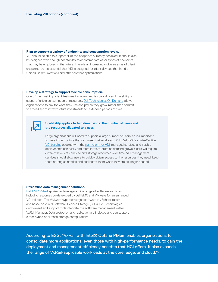#### **Plan to support a variety of endpoints and consumption levels.**

VDI should be able to support all of the endpoints currently deployed. It should also be designed with enough adaptability to accommodate other types of endpoints that may be employed in the future. There is an increasingly diverse array of client endpoints, so it's essential that VDI is designed for client devices that handle Unified Communications and other content optimizations.

#### **Develop a strategy to support flexible consumption.**

One of the most important features to understand is scalability and the ability to support flexible consumption of resources. [Dell Technologies On Demand](https://www.delltechnologies.com/en-us/solutions/dell-technologies-on-demand.htm#accordion0) allows organizations to pay for what they use and pay as they grow, rather than commit to a fixed set of infrastructure investments for extended periods of time.



#### **Scalability applies to two dimensions: the number of users and the resources allocated to a user.**

Large organizations will need to support a large number of users, so it's important to have infrastructure that can meet that workload. With Dell EMC's cost-effective [VDI bundles](https://www.delltechnologies.com/en-us/solutions/vdi/index.htm) coupled with the [right client for VDI](https://www.delltechnologies.com/en-us/solutions/vdi/index.htm#scroll=off&overlay=//www.dellemc.com/en-us/collaterals/unauth/briefs-handouts/products/thin-clients/dell-quickstart-client-bundles-for-vdi.pdf ), managed services and flexible deployments can easily add more infrastructure as demand grows. Users will require different levels of compute and storage resources over time. VDI management services should allow users to quickly obtain access to the resources they need, keep them as long as needed and deallocate them when they are no longer needed.

#### **Streamline data management solutions.**

[Dell EMC VxRail](https://www.delltechnologies.com/en-us/solutions/vdi/index.htm#overlay=/collaterals/unauth/briefs-handouts/solutions/h17874-dell-emc-ready-solutions-for-virtual-desktop-infrastructure.pdf) appliances leverage a wide range of software and tools, including resources co-developed by Dell EMC and VMware for an enhanced VDI solution. The VMware hyperconverged software is vSphere-ready and based on vSAN Software-Defined Storage (SDS). Dell Technologies deployment and support tools integrate the software management within VxRail Manager. Data protection and replication are included and can support either hybrid or all-flash storage configurations.

According to ESG, "VxRail with Intel® Optane PMem enables organizations to consolidate more applications, even those with high-performance needs, to gain the deployment and management efficiency benefits that HCI offers. It also expands the range of VxRail-applicable workloads at the core, edge, and cloud."2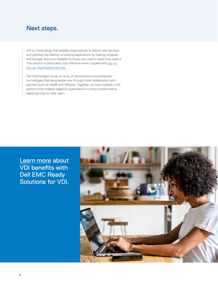### <span id="page-7-0"></span>Next steps.

VDI is a technology that enables organizations to deliver new services and optimize the delivery of existing applications by making compute and storage resources available to those who need it when they need it. This solution is particularly cost-effective when coupled with [pay-as](https://www.delltechnologies.com/en-us/solutions/vdi/index.htm#scroll=off)[you-go, cloud-based services.](https://www.delltechnologies.com/en-us/solutions/vdi/index.htm#scroll=off)

Dell Technologies brings an array of optimizations and enhanced technologies that are possible only through close collaboration with partners such as Intel® and VMware. Together, we have created a VDI platform that enables adaptive organizations to bring transformative digital services to their users.

Learn more about VDI benefits with Dell EMC Ready Solutions for VDI.